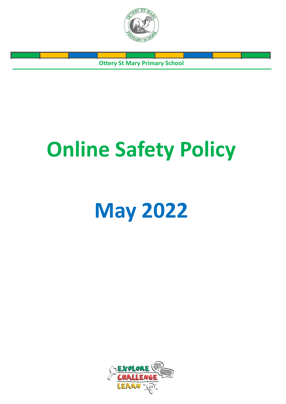

**Ottery St Mary Primary School**

# **Online Safety Policy**

# **May 2022**

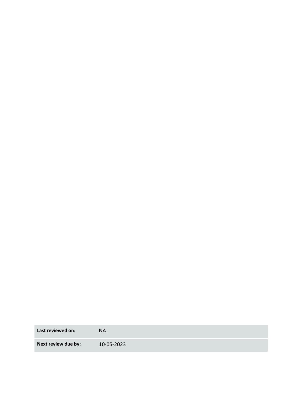**Last reviewed on:** NA

**Next review due by:** 10-05-2023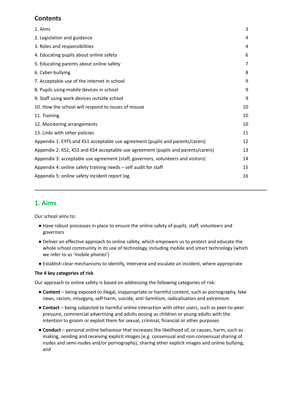# **Contents**

| 1. Aims                                                                           | 3  |
|-----------------------------------------------------------------------------------|----|
| 2. Legislation and guidance                                                       | 4  |
| 3. Roles and responsibilities                                                     | 4  |
| 4. Educating pupils about online safety                                           | 6  |
| 5. Educating parents about online safety                                          | 7  |
| 6. Cyber-bullying                                                                 | 8  |
| 7. Acceptable use of the internet in school                                       | 9  |
| 8. Pupils using mobile devices in school                                          | 9  |
| 9. Staff using work devices outside school                                        | 9  |
| 10. How the school will respond to issues of misuse                               | 10 |
| 11. Training                                                                      | 10 |
| 12. Monitoring arrangements                                                       | 10 |
| 13. Links with other policies                                                     | 11 |
| Appendix 1: EYFS and KS1 acceptable use agreement (pupils and parents/carers)     | 12 |
| Appendix 2: KS2, KS3 and KS4 acceptable use agreement (pupils and parents/carers) | 13 |
| Appendix 3: acceptable use agreement (staff, governors, volunteers and visitors)  | 14 |
| Appendix 4: online safety training needs - self audit for staff                   | 15 |
| Appendix 5: online safety incident report log                                     | 16 |
|                                                                                   |    |

## <span id="page-2-0"></span>**1. Aims**

Our school aims to:

- Have robust processes in place to ensure the online safety of pupils, staff, volunteers and governors
- Deliver an effective approach to online safety, which empowers us to protect and educate the whole school community in its use of technology, including mobile and smart technology (which we refer to as 'mobile phones')
- Establish clear mechanisms to identify, intervene and escalate an incident, where appropriate

#### **The 4 key categories of risk**

Our approach to online safety is based on addressing the following categories of risk:

- **Content** being exposed to illegal, inappropriate or harmful content, such as pornography, fake news, racism, misogyny, self-harm, suicide, anti-Semitism, radicalisation and extremism
- **Contact** being subjected to harmful online interaction with other users, such as peer-to-peer pressure, commercial advertising and adults posing as children or young adults with the intention to groom or exploit them for sexual, criminal, financial or other purposes
- **Conduct** personal online behaviour that increases the likelihood of, or causes, harm, such as making, sending and receiving explicit images (e.g. consensual and non-consensual sharing of nudes and semi-nudes and/or pornography), sharing other explicit images and online bullying; and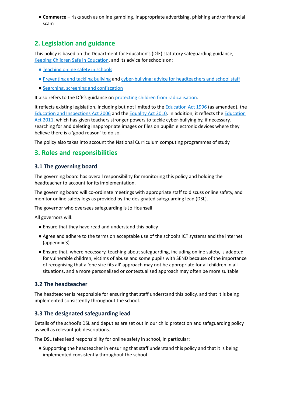● **Commerce** – risks such as online gambling, inappropriate advertising, phishing and/or financial scam

# <span id="page-3-0"></span>**2. Legislation and guidance**

This policy is based on the Department for Education's (DfE) statutory safeguarding guidance, Keeping Children Safe in [Education](https://www.gov.uk/government/publications/keeping-children-safe-in-education--2), and its advice for schools on:

- [Teaching](https://www.gov.uk/government/publications/teaching-online-safety-in-schools) online [s](https://www.gov.uk/government/publications/preventing-and-tackling-bullying)afety in schools
- [Preventing](https://www.gov.uk/government/publications/preventing-and-tackling-bullying) and tackling bullying and [cyber-bullying:](https://www.gov.uk/government/publications/preventing-and-tackling-bullying) advice for headteachers and school staff
- Searching, screening and [confiscation](https://www.gov.uk/government/publications/searching-screening-and-confiscation)

It also refers to the DfE's guidance on protecting children from [radicalisation](https://www.gov.uk/government/publications/protecting-children-from-radicalisation-the-prevent-duty).

It reflects existing legislation, including but not limited to the **[Education](https://www.legislation.gov.uk/ukpga/1996/56/contents) Act 1996** (as amended), the Education and [Inspections](https://www.legislation.gov.uk/ukpga/2006/40/contents) Act 2006 and the [Equality](https://www.legislation.gov.uk/ukpga/2010/15/contents) Act 2010. In addition, it reflects the [Education](http://www.legislation.gov.uk/ukpga/2011/21/contents/enacted) Act [2011](http://www.legislation.gov.uk/ukpga/2011/21/contents/enacted), which has given teachers stronger powers to tackle cyber-bullying by, if necessary, searching for and deleting inappropriate images or files on pupils' electronic devices where they believe there is a 'good reason' to do so.

<span id="page-3-1"></span>The policy also takes into account the National Curriculum computing programmes of study.

## **3. Roles and responsibilities**

#### **3.1 The governing board**

The governing board has overall responsibility for monitoring this policy and holding the headteacher to account for its implementation.

The governing board will co-ordinate meetings with appropriate staff to discuss online safety, and monitor online safety logs as provided by the designated safeguarding lead (DSL).

The governor who oversees safeguarding is Jo Hounsell

All governors will:

- Ensure that they have read and understand this policy
- Agree and adhere to the terms on acceptable use of the school's ICT systems and the internet (appendix 3)
- Ensure that, where necessary, teaching about safeguarding, including online safety, is adapted for vulnerable children, victims of abuse and some pupils with SEND because of the importance of recognising that a 'one size fits all' approach may not be appropriate for all children in all situations, and a more personalised or contextualised approach may often be more suitable

#### **3.2 The headteacher**

The headteacher is responsible for ensuring that staff understand this policy, and that it is being implemented consistently throughout the school.

#### **3.3 The designated safeguarding lead**

Details of the school's DSL and deputies are set out in our child protection and safeguarding policy as well as relevant job descriptions.

The DSL takes lead responsibility for online safety in school, in particular:

● Supporting the headteacher in ensuring that staff understand this policy and that it is being implemented consistently throughout the school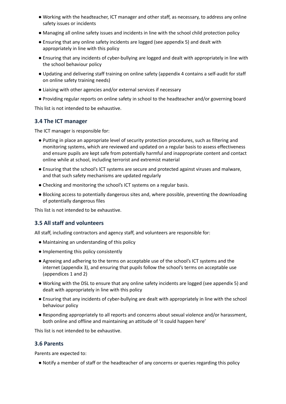- Working with the headteacher, ICT manager and other staff, as necessary, to address any online safety issues or incidents
- Managing all online safety issues and incidents in line with the school child protection policy
- Ensuring that any online safety incidents are logged (see appendix 5) and dealt with appropriately in line with this policy
- Ensuring that any incidents of cyber-bullying are logged and dealt with appropriately in line with the school behaviour policy
- Updating and delivering staff training on online safety (appendix 4 contains a self-audit for staff on online safety training needs)
- Liaising with other agencies and/or external services if necessary
- Providing regular reports on online safety in school to the headteacher and/or governing board

This list is not intended to be exhaustive.

#### **3.4 The ICT manager**

The ICT manager is responsible for:

- Putting in place an appropriate level of security protection procedures, such as filtering and monitoring systems, which are reviewed and updated on a regular basis to assess effectiveness and ensure pupils are kept safe from potentially harmful and inappropriate content and contact online while at school, including terrorist and extremist material
- Ensuring that the school's ICT systems are secure and protected against viruses and malware, and that such safety mechanisms are updated regularly
- Checking and monitoring the school's ICT systems on a regular basis.
- Blocking access to potentially dangerous sites and, where possible, preventing the downloading of potentially dangerous files

This list is not intended to be exhaustive.

#### **3.5 All staff and volunteers**

All staff, including contractors and agency staff, and volunteers are responsible for:

- Maintaining an understanding of this policy
- Implementing this policy consistently
- Agreeing and adhering to the terms on acceptable use of the school's ICT systems and the internet (appendix 3), and ensuring that pupils follow the school's terms on acceptable use (appendices 1 and 2)
- Working with the DSL to ensure that any online safety incidents are logged (see appendix 5) and dealt with appropriately in line with this policy
- Ensuring that any incidents of cyber-bullying are dealt with appropriately in line with the school behaviour policy
- Responding appropriately to all reports and concerns about sexual violence and/or harassment, both online and offline and maintaining an attitude of 'it could happen here'

This list is not intended to be exhaustive.

#### **3.6 Parents**

Parents are expected to:

● Notify a member of staff or the headteacher of any concerns or queries regarding this policy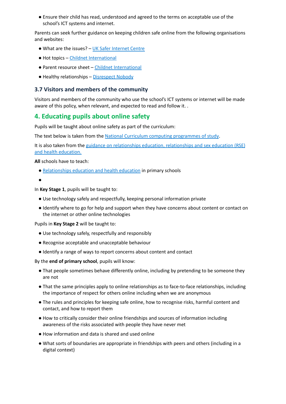● Ensure their child has read, understood and agreed to the terms on acceptable use of the school's ICT systems and internet.

Parents can seek further guidance on keeping children safe online from the following organisations and websites:

- What are the issues? UK Safer [Internet](https://www.saferinternet.org.uk/advice-centre/parents-and-carers/what-are-issues) Centre
- Hot topics Childnet [International](http://www.childnet.com/parents-and-carers/hot-topics)
- Parent resource sheet Childnet [International](https://www.childnet.com/resources/parents-and-carers-resource-sheet)
- Healthy relationships [Disrespect](https://www.disrespectnobody.co.uk/) Nobody

#### **3.7 Visitors and members of the community**

<span id="page-5-0"></span>Visitors and members of the community who use the school's ICT systems or internet will be made aware of this policy, when relevant, and expected to read and follow it. .

### **4. Educating pupils about online safety**

Pupils will be taught about online safety as part of the curriculum:

The text below is taken from the National Curriculum computing [programmes](https://www.gov.uk/government/publications/national-curriculum-in-england-computing-programmes-of-study/national-curriculum-in-england-computing-programmes-of-study) of study.

It is also taken from the guidance on relationships education, [relationships](https://www.gov.uk/government/publications/relationships-education-relationships-and-sex-education-rse-and-health-education) and sex education (RSE) and health [education.](https://www.gov.uk/government/publications/relationships-education-relationships-and-sex-education-rse-and-health-education)

**All** schools have to teach:

- [Relationships](https://schoolleaders.thekeysupport.com/uid/8b76f587-7bf6-4994-abf0-43850c6e8d73/) education and health education in primary schools
- ●

In **Key Stage 1**, pupils will be taught to:

- Use technology safely and respectfully, keeping personal information private
- Identify where to go for help and support when they have concerns about content or contact on the internet or other online technologies

Pupils in **Key Stage 2** will be taught to:

- Use technology safely, respectfully and responsibly
- Recognise acceptable and unacceptable behaviour
- Identify a range of ways to report concerns about content and contact

By the **end of primary school**, pupils will know:

- That people sometimes behave differently online, including by pretending to be someone they are not
- That the same principles apply to online relationships as to face-to-face relationships, including the importance of respect for others online including when we are anonymous
- The rules and principles for keeping safe online, how to recognise risks, harmful content and contact, and how to report them
- How to critically consider their online friendships and sources of information including awareness of the risks associated with people they have never met
- How information and data is shared and used online
- What sorts of boundaries are appropriate in friendships with peers and others (including in a digital context)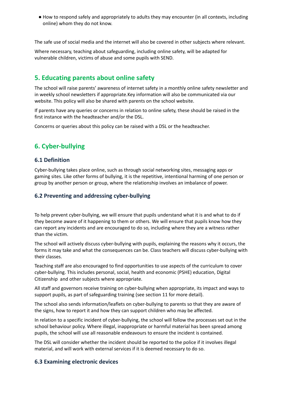● How to respond safely and appropriately to adults they may encounter (in all contexts, including online) whom they do not know.

The safe use of social media and the internet will also be covered in other subjects where relevant.

Where necessary, teaching about safeguarding, including online safety, will be adapted for vulnerable children, victims of abuse and some pupils with SEND.

# <span id="page-6-0"></span>**5. Educating parents about online safety**

The school will raise parents' awareness of internet safety in a monthly online safety newsletter and in weekly school newsletters if appropriate.Key information will also be communicated via our website. This policy will also be shared with parents on the school website.

If parents have any queries or concerns in relation to online safety, these should be raised in the first instance with the headteacher and/or the DSL.

<span id="page-6-1"></span>Concerns or queries about this policy can be raised with a DSL or the headteacher.

# **6. Cyber-bullying**

#### **6.1 Definition**

Cyber-bullying takes place online, such as through social networking sites, messaging apps or gaming sites. Like other forms of bullying, it is the repetitive, intentional harming of one person or group by another person or group, where the relationship involves an imbalance of power.

#### **6.2 Preventing and addressing cyber-bullying**

To help prevent cyber-bullying, we will ensure that pupils understand what it is and what to do if they become aware of it happening to them or others. We will ensure that pupils know how they can report any incidents and are encouraged to do so, including where they are a witness rather than the victim.

The school will actively discuss cyber-bullying with pupils, explaining the reasons why it occurs, the forms it may take and what the consequences can be. Class teachers will discuss cyber-bullying with their classes.

Teaching staff are also encouraged to find opportunities to use aspects of the curriculum to cover cyber-bullying. This includes personal, social, health and economic (PSHE) education, Digital Citizenship and other subjects where appropriate.

All staff and governors receive training on cyber-bullying when appropriate, its impact and ways to support pupils, as part of safeguarding training (see section 11 for more detail).

The school also sends information/leaflets on cyber-bullying to parents so that they are aware of the signs, how to report it and how they can support children who may be affected.

In relation to a specific incident of cyber-bullying, the school will follow the processes set out in the school behaviour policy. Where illegal, inappropriate or harmful material has been spread among pupils, the school will use all reasonable endeavours to ensure the incident is contained.

The DSL will consider whether the incident should be reported to the police if it involves illegal material, and will work with external services if it is deemed necessary to do so.

#### **6.3 Examining electronic devices**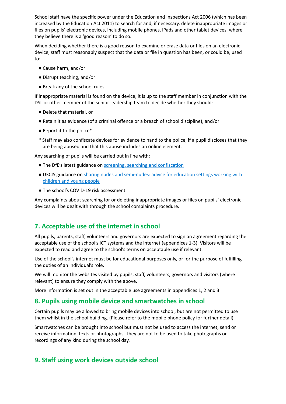School staff have the specific power under the Education and Inspections Act 2006 (which has been increased by the Education Act 2011) to search for and, if necessary, delete inappropriate images or files on pupils' electronic devices, including mobile phones, iPads and other tablet devices, where they believe there is a 'good reason' to do so.

When deciding whether there is a good reason to examine or erase data or files on an electronic device, staff must reasonably suspect that the data or file in question has been, or could be, used to:

- Cause harm, and/or
- Disrupt teaching, and/or
- Break any of the school rules

If inappropriate material is found on the device, it is up to the staff member in conjunction with the DSL or other member of the senior leadership team to decide whether they should:

- Delete that material, or
- Retain it as evidence (of a criminal offence or a breach of school discipline), and/or
- Report it to the police\*
- \* Staff may also confiscate devices for evidence to hand to the police, if a pupil discloses that they are being abused and that this abuse includes an online element.

Any searching of pupils will be carried out in line with:

- The DfE's latest guidance on screening, searching and [confiscation](https://www.gov.uk/government/publications/searching-screening-and-confiscation)
- UKCIS guidance on sharing nudes and [semi-nudes:](https://www.gov.uk/government/publications/sharing-nudes-and-semi-nudes-advice-for-education-settings-working-with-children-and-young-people) advice for education settings working with [children](https://www.gov.uk/government/publications/sharing-nudes-and-semi-nudes-advice-for-education-settings-working-with-children-and-young-people) and young people
- The school's COVID-19 risk assessment

Any complaints about searching for or deleting inappropriate images or files on pupils' electronic devices will be dealt with through the school complaints procedure.

# <span id="page-7-0"></span>**7. Acceptable use of the internet in school**

All pupils, parents, staff, volunteers and governors are expected to sign an agreement regarding the acceptable use of the school's ICT systems and the internet (appendices 1-3). Visitors will be expected to read and agree to the school's terms on acceptable use if relevant.

Use of the school's internet must be for educational purposes only, or for the purpose of fulfilling the duties of an individual's role.

We will monitor the websites visited by pupils, staff, volunteers, governors and visitors (where relevant) to ensure they comply with the above.

<span id="page-7-1"></span>More information is set out in the acceptable use agreements in appendices 1, 2 and 3.

### **8. Pupils using mobile device and smartwatches in school**

Certain pupils may be allowed to bring mobile devices into school, but are not permitted to use them whilst in the school building. (Please refer to the mobile phone policy for further detail)

Smartwatches can be brought into school but must not be used to access the internet, send or receive information, texts or photographs. They are not to be used to take photographs or recordings of any kind during the school day.

# <span id="page-7-2"></span>**9. Staff using work devices outside school**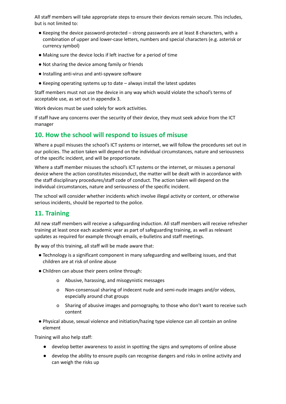All staff members will take appropriate steps to ensure their devices remain secure. This includes, but is not limited to:

- Keeping the device password-protected strong passwords are at least 8 characters, with a combination of upper and lower-case letters, numbers and special characters (e.g. asterisk or currency symbol)
- Making sure the device locks if left inactive for a period of time
- Not sharing the device among family or friends
- Installing anti-virus and anti-spyware software
- Keeping operating systems up to date always install the latest updates

Staff members must not use the device in any way which would violate the school's terms of acceptable use, as set out in appendix 3.

Work devices must be used solely for work activities.

<span id="page-8-0"></span>If staff have any concerns over the security of their device, they must seek advice from the ICT manager

# **10. How the school will respond to issues of misuse**

Where a pupil misuses the school's ICT systems or internet, we will follow the procedures set out in our policies. The action taken will depend on the individual circumstances, nature and seriousness of the specific incident, and will be proportionate.

Where a staff member misuses the school's ICT systems or the internet, or misuses a personal device where the action constitutes misconduct, the matter will be dealt with in accordance with the staff disciplinary procedures/staff code of conduct. The action taken will depend on the individual circumstances, nature and seriousness of the specific incident.

<span id="page-8-1"></span>The school will consider whether incidents which involve illegal activity or content, or otherwise serious incidents, should be reported to the police.

# **11. Training**

All new staff members will receive a safeguarding induction. All staff members will receive refresher training at least once each academic year as part of safeguarding training, as well as relevant updates as required for example through emails, e-bulletins and staff meetings.

By way of this training, all staff will be made aware that:

- Technology is a significant component in many safeguarding and wellbeing issues, and that children are at risk of online abuse
- Children can abuse their peers online through:
	- o Abusive, harassing, and misogynistic messages
	- o Non-consensual sharing of indecent nude and semi-nude images and/or videos, especially around chat groups
	- o Sharing of abusive images and pornography, to those who don't want to receive such content
- Physical abuse, sexual violence and initiation/hazing type violence can all contain an online element

Training will also help staff:

- develop better awareness to assist in spotting the signs and symptoms of online abuse
- develop the ability to ensure pupils can recognise dangers and risks in online activity and can weigh the risks up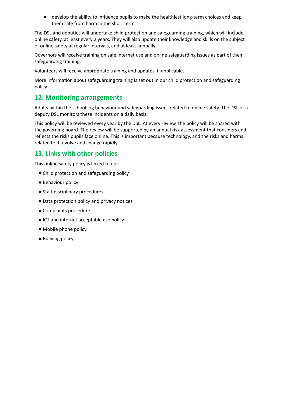● develop the ability to influence pupils to make the healthiest long-term choices and keep them safe from harm in the short term

The DSL and deputies will undertake child protection and safeguarding training, which will include online safety, at least every 2 years. They will also update their knowledge and skills on the subject of online safety at regular intervals, and at least annually.

Governors will receive training on safe internet use and online safeguarding issues as part of their safeguarding training.

Volunteers will receive appropriate training and updates, if applicable.

<span id="page-9-0"></span>More information about safeguarding training is set out in our child protection and safeguarding policy.

# **12. Monitoring arrangements**

Adults within the school log behaviour and safeguarding issues related to online safety. The DSL or a deputy DSL monitors these incidents on a daily basis.

This policy will be reviewed every year by the DSL. At every review, the policy will be shared with the governing board. The review will be supported by an annual risk assessment that considers and reflects the risks pupils face online. This is important because technology, and the risks and harms related to it, evolve and change rapidly.

# <span id="page-9-1"></span>**13. Links with other policies**

This online safety policy is linked to our:

- Child protection and safeguarding policy
- Behaviour policy
- Staff disciplinary procedures
- Data protection policy and privacy notices
- Complaints procedure
- ICT and internet acceptable use policy
- Mobile phone policy.
- <span id="page-9-2"></span>● Bullying policy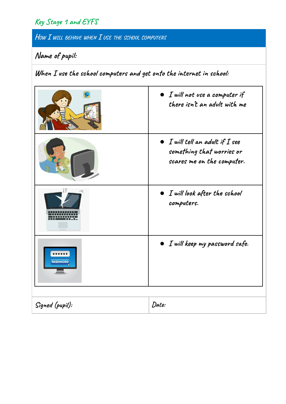# **Key Stage 1 and EYFS**

**HOW I WILL BEHAVE WHEN I USE THE SCHOOL COMPUTERS**

# **Name of pupil:**

**When I use the school computers and get onto the internet in school:**

|                           | $\bullet$ I will not use a computer if<br>there isn't an adult with me                             |
|---------------------------|----------------------------------------------------------------------------------------------------|
|                           | $\bullet$ I will tell an adult if I see<br>something that worries or<br>scares me on the computer. |
|                           | $\bullet$ I will look after the school<br>computers.                                               |
| ******<br><b>PASSWORD</b> | $\bullet$ I will keep my password safe.                                                            |
| Signed (pupil):           | Date:                                                                                              |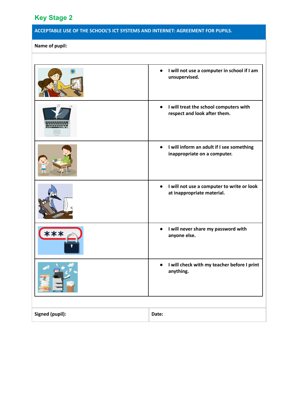# <span id="page-11-0"></span>**Key Stage 2**

# **ACCEPTABLE USE OF THE SCHOOL'S ICT SYSTEMS AND INTERNET: AGREEMENT FOR PUPILS.**

## **Name of pupil:**

<span id="page-11-1"></span>

|                        | I will not use a computer in school if I am<br>$\bullet$<br>unsupervised.             |
|------------------------|---------------------------------------------------------------------------------------|
| mmmm                   | I will treat the school computers with<br>respect and look after them.                |
|                        | I will inform an adult if I see something<br>inappropriate on a computer.             |
|                        | I will not use a computer to write or look<br>$\bullet$<br>at inappropriate material. |
| ***                    | I will never share my password with<br>$\bullet$<br>anyone else.                      |
|                        | I will check with my teacher before I print<br>$\bullet$<br>anything.                 |
|                        |                                                                                       |
| <b>Signed (pupil):</b> | Date:                                                                                 |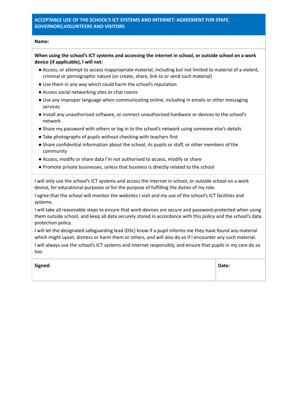#### **ACCEPTABLE USE OF THE SCHOOL'S ICT SYSTEMS AND INTERNET: AGREEMENT FOR STAFF, GOVERNORS,VOLUNTEERS AND VISITORS**

#### **Name:**

When using the school's ICT systems and accessing the internet in school, or outside school on a work **device (if applicable), I will not:**

- Access, or attempt to access inappropriate material, including but not limited to material of a violent, criminal or pornographic nature (or create, share, link to or send such material)
- Use them in any way which could harm the school's reputation
- Access social networking sites or chat rooms
- Use any improper language when communicating online, including in emails or other messaging services
- Install any unauthorised software, or connect unauthorised hardware or devices to the school's network
- Share my password with others or log in to the school's network using someone else's details
- Take photographs of pupils without checking with teachers first
- Share confidential information about the school, its pupils or staff, or other members of the community
- Access, modify or share data I'm not authorised to access, modify or share
- Promote private businesses, unless that business is directly related to the school

I will only use the school's ICT systems and access the internet in school, or outside school on a work device, for educational purposes or for the purpose of fulfilling the duties of my role.

I agree that the school will monitor the websites I visit and my use of the school's ICT facilities and systems.

I will take all reasonable steps to ensure that work devices are secure and password-protected when using them outside school, and keep all data securely stored in accordance with this policy and the school's data protection policy.

I will let the designated safeguarding lead (DSL) know if a pupil informs me they have found any material which might upset, distress or harm them or others, and will also do so if I encounter any such material.

I will always use the school's ICT systems and internet responsibly, and ensure that pupils in my care do so too.

<span id="page-12-0"></span>**Signed: Date:**